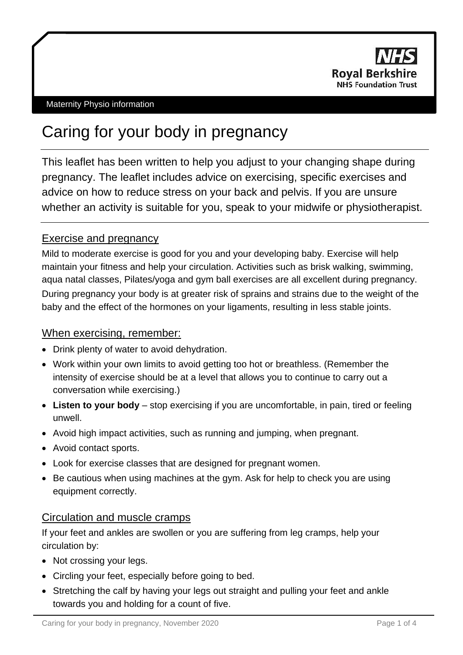

# Caring for your body in pregnancy

This leaflet has been written to help you adjust to your changing shape during pregnancy. The leaflet includes advice on exercising, specific exercises and advice on how to reduce stress on your back and pelvis. If you are unsure whether an activity is suitable for you, speak to your midwife or physiotherapist.

# Exercise and pregnancy

Mild to moderate exercise is good for you and your developing baby. Exercise will help maintain your fitness and help your circulation. Activities such as brisk walking, swimming, aqua natal classes, Pilates/yoga and gym ball exercises are all excellent during pregnancy. During pregnancy your body is at greater risk of sprains and strains due to the weight of the baby and the effect of the hormones on your ligaments, resulting in less stable joints.

# When exercising, remember:

- Drink plenty of water to avoid dehydration.
- Work within your own limits to avoid getting too hot or breathless. (Remember the intensity of exercise should be at a level that allows you to continue to carry out a conversation while exercising.)
- **Listen to your body** stop exercising if you are uncomfortable, in pain, tired or feeling unwell.
- Avoid high impact activities, such as running and jumping, when pregnant.
- Avoid contact sports.
- Look for exercise classes that are designed for pregnant women.
- Be cautious when using machines at the gym. Ask for help to check you are using equipment correctly.

# Circulation and muscle cramps

If your feet and ankles are swollen or you are suffering from leg cramps, help your circulation by:

- Not crossing your legs.
- Circling your feet, especially before going to bed.
- Stretching the calf by having your legs out straight and pulling your feet and ankle towards you and holding for a count of five.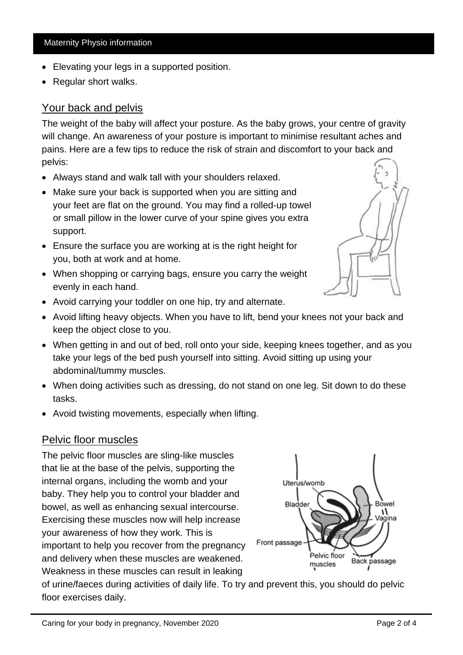• Regular short walks.

Your back and pelvis

Maternity Physio information

Elevating your legs in a supported position.

The weight of the baby will affect your posture. As the baby grows, your centre of gravity will change. An awareness of your posture is important to minimise resultant aches and pains. Here are a few tips to reduce the risk of strain and discomfort to your back and pelvis:

- Always stand and walk tall with your shoulders relaxed.
- Make sure your back is supported when you are sitting and your feet are flat on the ground. You may find a rolled-up towel or small pillow in the lower curve of your spine gives you extra support.
- Ensure the surface you are working at is the right height for you, both at work and at home.
- When shopping or carrying bags, ensure you carry the weight evenly in each hand.
- Avoid carrying your toddler on one hip, try and alternate.
- Avoid lifting heavy objects. When you have to lift, bend your knees not your back and keep the object close to you.
- When getting in and out of bed, roll onto your side, keeping knees together, and as you take your legs of the bed push yourself into sitting. Avoid sitting up using your abdominal/tummy muscles.
- When doing activities such as dressing, do not stand on one leg. Sit down to do these tasks.
- Avoid twisting movements, especially when lifting.

### **Pelvic floor muscles**

The pelvic floor muscles are sling-like muscles that lie at the base of the pelvis, supporting the internal organs, including the womb and your baby. They help you to control your bladder and bowel, as well as enhancing sexual intercourse. Exercising these muscles now will help increase your awareness of how they work. This is important to help you recover from the pregnancy and delivery when these muscles are weakened. Weakness in these muscles can result in leaking

Bladder Bowel ag`ina Front passage Pelvic floor Back passage muscles

Uterus/womb

of urine/faeces during activities of daily life. To try and prevent this, you should do pelvic floor exercises daily.



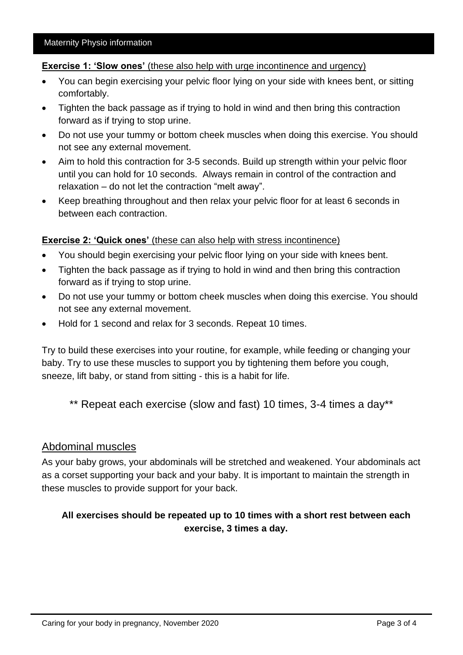#### **Exercise 1: 'Slow ones'** (these also help with urge incontinence and urgency)

- You can begin exercising your pelvic floor lying on your side with knees bent, or sitting comfortably.
- Tighten the back passage as if trying to hold in wind and then bring this contraction forward as if trying to stop urine.
- Do not use your tummy or bottom cheek muscles when doing this exercise. You should not see any external movement.
- Aim to hold this contraction for 3-5 seconds. Build up strength within your pelvic floor until you can hold for 10 seconds. Always remain in control of the contraction and relaxation – do not let the contraction "melt away".
- Keep breathing throughout and then relax your pelvic floor for at least 6 seconds in between each contraction.

#### **Exercise 2: 'Quick ones'** (these can also help with stress incontinence)

- You should begin exercising your pelvic floor lying on your side with knees bent.
- Tighten the back passage as if trying to hold in wind and then bring this contraction forward as if trying to stop urine.
- Do not use your tummy or bottom cheek muscles when doing this exercise. You should not see any external movement.
- Hold for 1 second and relax for 3 seconds. Repeat 10 times.

Try to build these exercises into your routine, for example, while feeding or changing your baby. Try to use these muscles to support you by tightening them before you cough, sneeze, lift baby, or stand from sitting - this is a habit for life.

\*\* Repeat each exercise (slow and fast) 10 times, 3-4 times a day\*\*

## Abdominal muscles

As your baby grows, your abdominals will be stretched and weakened. Your abdominals act as a corset supporting your back and your baby. It is important to maintain the strength in these muscles to provide support for your back.

## **All exercises should be repeated up to 10 times with a short rest between each exercise, 3 times a day.**